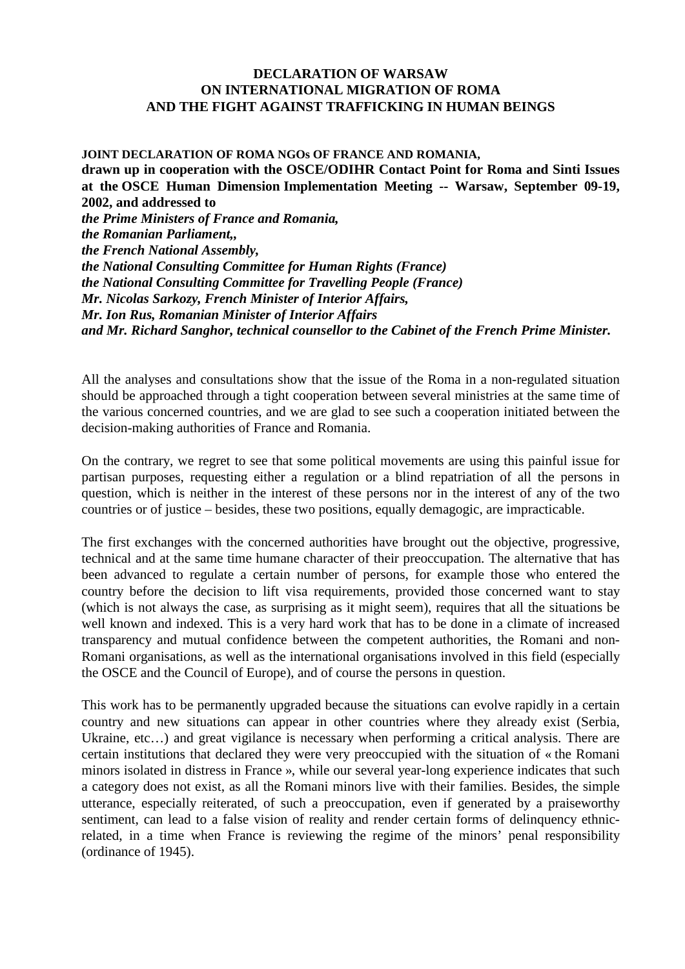## **DECLARATION OF WARSAW ON INTERNATIONAL MIGRATION OF ROMA AND THE FIGHT AGAINST TRAFFICKING IN HUMAN BEINGS**

**JOINT DECLARATION OF ROMA NGOs OF FRANCE AND ROMANIA, drawn up in cooperation with the OSCE/ODIHR Contact Point for Roma and Sinti Issues at the OSCE Human Dimension Implementation Meeting -- Warsaw, September 09-19, 2002, and addressed to** *the Prime Ministers of France and Romania, the Romanian Parliament,, the French National Assembly, the National Consulting Committee for Human Rights (France) the National Consulting Committee for Travelling People (France) Mr. Nicolas Sarkozy, French Minister of Interior Affairs, Mr. Ion Rus, Romanian Minister of Interior Affairs and Mr. Richard Sanghor, technical counsellor to the Cabinet of the French Prime Minister.*

All the analyses and consultations show that the issue of the Roma in a non-regulated situation should be approached through a tight cooperation between several ministries at the same time of the various concerned countries, and we are glad to see such a cooperation initiated between the decision-making authorities of France and Romania.

On the contrary, we regret to see that some political movements are using this painful issue for partisan purposes, requesting either a regulation or a blind repatriation of all the persons in question, which is neither in the interest of these persons nor in the interest of any of the two countries or of justice – besides, these two positions, equally demagogic, are impracticable.

The first exchanges with the concerned authorities have brought out the objective, progressive, technical and at the same time humane character of their preoccupation. The alternative that has been advanced to regulate a certain number of persons, for example those who entered the country before the decision to lift visa requirements, provided those concerned want to stay (which is not always the case, as surprising as it might seem), requires that all the situations be well known and indexed. This is a very hard work that has to be done in a climate of increased transparency and mutual confidence between the competent authorities, the Romani and non-Romani organisations, as well as the international organisations involved in this field (especially the OSCE and the Council of Europe), and of course the persons in question.

This work has to be permanently upgraded because the situations can evolve rapidly in a certain country and new situations can appear in other countries where they already exist (Serbia, Ukraine, etc...) and great vigilance is necessary when performing a critical analysis. There are certain institutions that declared they were very preoccupied with the situation of « the Romani minors isolated in distress in France », while our several year-long experience indicates that such a category does not exist, as all the Romani minors live with their families. Besides, the simple utterance, especially reiterated, of such a preoccupation, even if generated by a praiseworthy sentiment, can lead to a false vision of reality and render certain forms of delinquency ethnicrelated, in a time when France is reviewing the regime of the minors' penal responsibility (ordinance of 1945).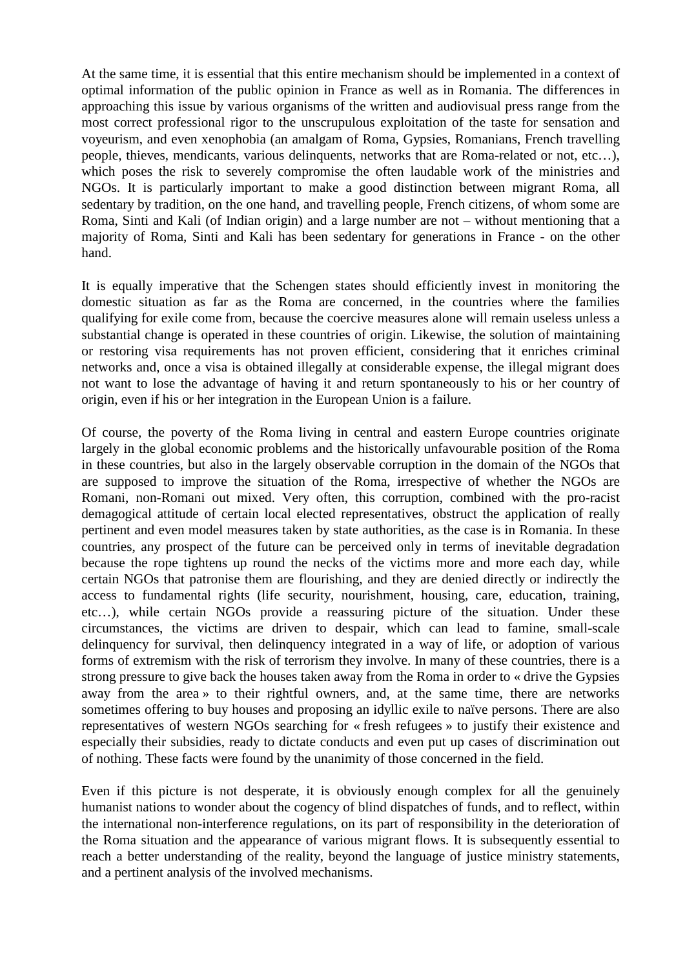At the same time, it is essential that this entire mechanism should be implemented in a context of optimal information of the public opinion in France as well as in Romania. The differences in approaching this issue by various organisms of the written and audiovisual press range from the most correct professional rigor to the unscrupulous exploitation of the taste for sensation and voyeurism, and even xenophobia (an amalgam of Roma, Gypsies, Romanians, French travelling people, thieves, mendicants, various delinquents, networks that are Roma-related or not, etc…), which poses the risk to severely compromise the often laudable work of the ministries and NGOs. It is particularly important to make a good distinction between migrant Roma, all sedentary by tradition, on the one hand, and travelling people, French citizens, of whom some are Roma, Sinti and Kali (of Indian origin) and a large number are not – without mentioning that a majority of Roma, Sinti and Kali has been sedentary for generations in France - on the other hand.

It is equally imperative that the Schengen states should efficiently invest in monitoring the domestic situation as far as the Roma are concerned, in the countries where the families qualifying for exile come from, because the coercive measures alone will remain useless unless a substantial change is operated in these countries of origin. Likewise, the solution of maintaining or restoring visa requirements has not proven efficient, considering that it enriches criminal networks and, once a visa is obtained illegally at considerable expense, the illegal migrant does not want to lose the advantage of having it and return spontaneously to his or her country of origin, even if his or her integration in the European Union is a failure.

Of course, the poverty of the Roma living in central and eastern Europe countries originate largely in the global economic problems and the historically unfavourable position of the Roma in these countries, but also in the largely observable corruption in the domain of the NGOs that are supposed to improve the situation of the Roma, irrespective of whether the NGOs are Romani, non-Romani out mixed. Very often, this corruption, combined with the pro-racist demagogical attitude of certain local elected representatives, obstruct the application of really pertinent and even model measures taken by state authorities, as the case is in Romania. In these countries, any prospect of the future can be perceived only in terms of inevitable degradation because the rope tightens up round the necks of the victims more and more each day, while certain NGOs that patronise them are flourishing, and they are denied directly or indirectly the access to fundamental rights (life security, nourishment, housing, care, education, training, etc…), while certain NGOs provide a reassuring picture of the situation. Under these circumstances, the victims are driven to despair, which can lead to famine, small-scale delinquency for survival, then delinquency integrated in a way of life, or adoption of various forms of extremism with the risk of terrorism they involve. In many of these countries, there is a strong pressure to give back the houses taken away from the Roma in order to « drive the Gypsies away from the area » to their rightful owners, and, at the same time, there are networks sometimes offering to buy houses and proposing an idyllic exile to naïve persons. There are also representatives of western NGOs searching for « fresh refugees » to justify their existence and especially their subsidies, ready to dictate conducts and even put up cases of discrimination out of nothing. These facts were found by the unanimity of those concerned in the field.

Even if this picture is not desperate, it is obviously enough complex for all the genuinely humanist nations to wonder about the cogency of blind dispatches of funds, and to reflect, within the international non-interference regulations, on its part of responsibility in the deterioration of the Roma situation and the appearance of various migrant flows. It is subsequently essential to reach a better understanding of the reality, beyond the language of justice ministry statements, and a pertinent analysis of the involved mechanisms.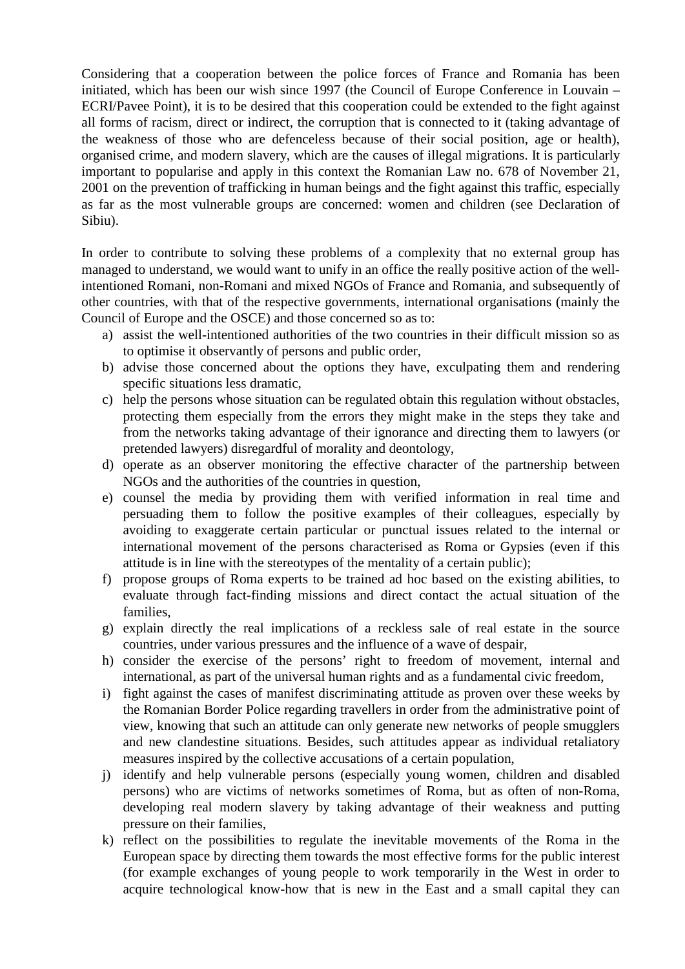Considering that a cooperation between the police forces of France and Romania has been initiated, which has been our wish since 1997 (the Council of Europe Conference in Louvain – ECRI/Pavee Point), it is to be desired that this cooperation could be extended to the fight against all forms of racism, direct or indirect, the corruption that is connected to it (taking advantage of the weakness of those who are defenceless because of their social position, age or health), organised crime, and modern slavery, which are the causes of illegal migrations. It is particularly important to popularise and apply in this context the Romanian Law no. 678 of November 21, 2001 on the prevention of trafficking in human beings and the fight against this traffic, especially as far as the most vulnerable groups are concerned: women and children (see Declaration of Sibiu).

In order to contribute to solving these problems of a complexity that no external group has managed to understand, we would want to unify in an office the really positive action of the wellintentioned Romani, non-Romani and mixed NGOs of France and Romania, and subsequently of other countries, with that of the respective governments, international organisations (mainly the Council of Europe and the OSCE) and those concerned so as to:

- a) assist the well-intentioned authorities of the two countries in their difficult mission so as to optimise it observantly of persons and public order,
- b) advise those concerned about the options they have, exculpating them and rendering specific situations less dramatic,
- c) help the persons whose situation can be regulated obtain this regulation without obstacles, protecting them especially from the errors they might make in the steps they take and from the networks taking advantage of their ignorance and directing them to lawyers (or pretended lawyers) disregardful of morality and deontology,
- d) operate as an observer monitoring the effective character of the partnership between NGOs and the authorities of the countries in question,
- e) counsel the media by providing them with verified information in real time and persuading them to follow the positive examples of their colleagues, especially by avoiding to exaggerate certain particular or punctual issues related to the internal or international movement of the persons characterised as Roma or Gypsies (even if this attitude is in line with the stereotypes of the mentality of a certain public);
- f) propose groups of Roma experts to be trained ad hoc based on the existing abilities, to evaluate through fact-finding missions and direct contact the actual situation of the families,
- g) explain directly the real implications of a reckless sale of real estate in the source countries, under various pressures and the influence of a wave of despair,
- h) consider the exercise of the persons' right to freedom of movement, internal and international, as part of the universal human rights and as a fundamental civic freedom,
- i) fight against the cases of manifest discriminating attitude as proven over these weeks by the Romanian Border Police regarding travellers in order from the administrative point of view, knowing that such an attitude can only generate new networks of people smugglers and new clandestine situations. Besides, such attitudes appear as individual retaliatory measures inspired by the collective accusations of a certain population,
- j) identify and help vulnerable persons (especially young women, children and disabled persons) who are victims of networks sometimes of Roma, but as often of non-Roma, developing real modern slavery by taking advantage of their weakness and putting pressure on their families,
- k) reflect on the possibilities to regulate the inevitable movements of the Roma in the European space by directing them towards the most effective forms for the public interest (for example exchanges of young people to work temporarily in the West in order to acquire technological know-how that is new in the East and a small capital they can